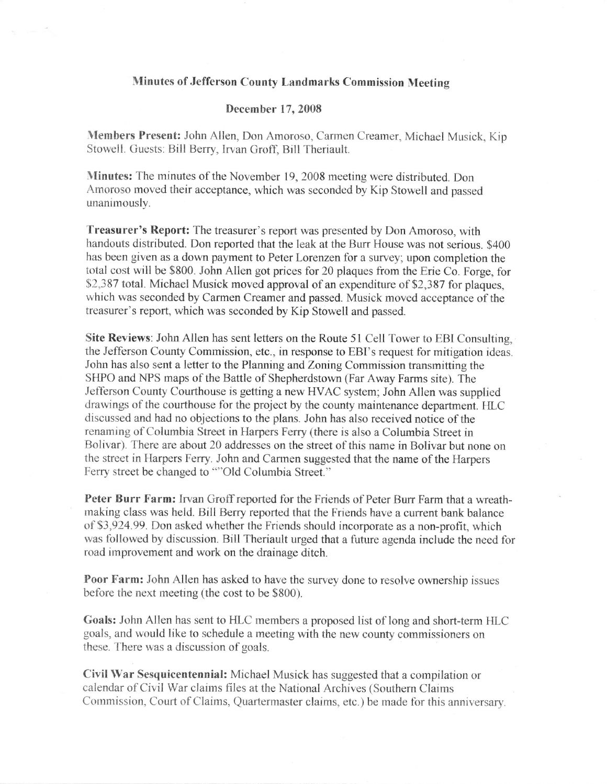## Minutes of Jefferson County Landmarks Commission Meeting

## December 17,2008

Members Present: John Allen, Don Amoroso, Carmen Creamer, Michael Musick, Kip Stowell. Guests: Bill Berry, Irvan Groff, Bill Theriault.

Minutes: The minutes of the November 19, 2008 meeting were distributed. Don Amoroso moved their acceptance, which was seconded by Kip Stowell and passed unanimously.

Treasurer's Report: The treasurer's report was presented by Don Amoroso, with handouts distributed. Don reported that the leak at the Burr House was not serious. \$400 has been given as a down payment to Peter Lorenzen for a survey; upon completion the total cost will be \$800. John Allen got prices for 20 plaques from the Erie Co. Forge, for 52,387 total. Michael Musick moved approval of an expenditure of \$2,387 for plaques, which was seconded by Carmen Creamer and passed. Musick moved acceptance of the treasurer's report, which was seconded by Kip Stowell and passed.

Site Reviews: John Allen has sent letters on the Route 51 Cell Tower to EBI Consulting, the Jefferson County Commission, etc., in response to EBI's request for mitigation ideas. John has also sent a letter to the Planning and Zoning Commission transmitting the SHPO and NPS maps of the Battle of Shepherdstown (Far Away Farms site). The Jefferson County Courthouse is getting a new HVAC system; John Allen was supplied drawings of the courthouse for the project by the county maintenance department. HLC discussed and had no objections to the plans. John has also received notice of the renaming of Columbia Street in Harpers Ferry (there is also a Columbia Street in Bolivar). There are about 20 addresses on the street of this name in Bolivar but none on the street in Harpers Ferry. John and Carmen suggested that the name of the Harpers Ferry street be changed to ""Old Columbia Street."

Peter Burr Farm: Irvan Groff reported for the Friends of Peter Burr Farm that a wreathmaking class was held. Bill Berry reported that the Friends have a current bank balance of \$3,924.99. Don asked whether the Friends should incorporate as a non-profit, which was tbllowed by discussion. Bill Theriault urged that a future agenda include the need for road improvement and work on the drainage ditch.

Poor Farm: John Allen has asked to have the survey done to resolve ownership issues before the next meeting (the cost to be \$800).

Goals: John Allen has sent to HLC members a proposed list of long and short-term HLC goals, and would like to schedule a meeting with the new county commissioners on these. There was a discussion of goals.

Civil War Sesquicentennial: Michael Musick has suggested that a compilation or calendar of Civil War claims files at the National Archives (Southern Claims Comrnission, Court of Claims, Quartermaster claims, etc. ) be made for this anniversary.